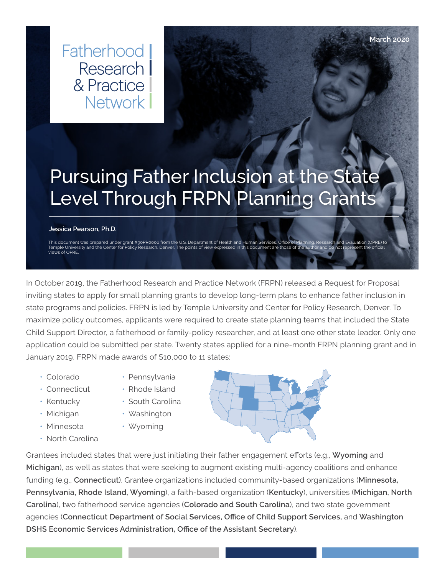Fatherhood I Research I & Practice Network |

# Pursuing Father Inclusion at the State Level Through FRPN Planning Grants

#### **Jessica Pearson, Ph.D.**

This document was prepared under grant #90PR0006 from the U.S. Department of Health and Human Services, Office of Planning, Research and Evaluation (OPRE) to<br>Temple University and the Center for Policy Research, Denver. Th views of OPRE.

In October 2019, the Fatherhood Research and Practice Network (FRPN) released a Request for Proposal inviting states to apply for small planning grants to develop long-term plans to enhance father inclusion in state programs and policies. FRPN is led by Temple University and Center for Policy Research, Denver. To maximize policy outcomes, applicants were required to create state planning teams that included the State Child Support Director, a fatherhood or family-policy researcher, and at least one other state leader. Only one application could be submitted per state. Twenty states applied for a nine-month FRPN planning grant and in January 2019, FRPN made awards of \$10,000 to 11 states:

- Colorado
- 
- Connecticut • Kentucky
- 
- Michigan
- Minnesota
- North Carolina
- Pennsylvania
- Rhode Island • South Carolina
- 
- Washington • Wyoming
	-

Grantees included states that were just initiating their father engagement efforts (e.g., **Wyoming** and **Michigan**), as well as states that were seeking to augment existing multi-agency coalitions and enhance funding (e.g., **Connecticut**). Grantee organizations included community-based organizations (**Minnesota, Pennsylvania, Rhode Island, Wyoming**), a faith-based organization (**Kentucky**), universities (**Michigan, North Carolina**), two fatherhood service agencies (**Colorado and South Carolina**), and two state government agencies (**Connecticut Department of Social Services, Office of Child Support Services,** and **Washington DSHS Economic Services Administration, Office of the Assistant Secretary**).



**March 2020**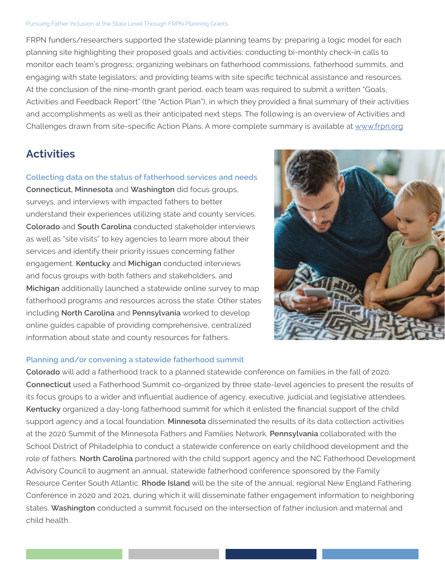#### Pursuing Father Inclusion at the State Level Through FRPN Planning Grants

FRPN funders/researchers supported the statewide planning teams by: preparing a logic model for each planning site highlighting their proposed goals and activities; conducting bi-monthly check-in calls to monitor each team's progress; organizing webinars on fatherhood commissions, fatherhood summits, and engaging with state legislators; and providing teams with site specific technical assistance and resources. At the conclusion of the nine-month grant period, each team was required to submit a written "Goals, Activities and Feedback Report" (the "Action Plan"), in which they provided a final summary of their activities and accomplishments as well as their anticipated next steps. The following is an overview of Activities and Challenges drawn from site-specific Action Plans. A more complete summary is available at [www.frpn.org](http://www.frpn.org)

# **Activities**

#### **Collecting data on the status of fatherhood services and needs**

**Connecticut, Minnesota** and **Washington** did focus groups, surveys, and interviews with impacted fathers to better understand their experiences utilizing state and county services. **Colorado** and **South Carolina** conducted stakeholder interviews as well as "site visits" to key agencies to learn more about their services and identify their priority issues concerning father engagement. **Kentucky** and **Michigan** conducted interviews and focus groups with both fathers and stakeholders, and **Michigan** additionally launched a statewide online survey to map fatherhood programs and resources across the state. Other states including **North Carolina** and **Pennsylvania** worked to develop online guides capable of providing comprehensive, centralized information about state and county resources for fathers.



## **Planning and/or convening a statewide fatherhood summit**

**Colorado** will add a fatherhood track to a planned statewide conference on families in the fall of 2020. **Connecticut** used a Fatherhood Summit co-organized by three state-level agencies to present the results of its focus groups to a wider and influential audience of agency, executive, judicial and legislative attendees. **Kentucky** organized a day-long fatherhood summit for which it enlisted the financial support of the child support agency and a local foundation. **Minnesota** disseminated the results of its data collection activities at the 2020 Summit of the Minnesota Fathers and Families Network. **Pennsylvania** collaborated with the School District of Philadelphia to conduct a statewide conference on early childhood development and the role of fathers. **North Carolina** partnered with the child support agency and the NC Fatherhood Development Advisory Council to augment an annual, statewide fatherhood conference sponsored by the Family Resource Center South Atlantic. **Rhode Island** will be the site of the annual, regional New England Fathering Conference in 2020 and 2021, during which it will disseminate father engagement information to neighboring states. **Washington** conducted a summit focused on the intersection of father inclusion and maternal and child health.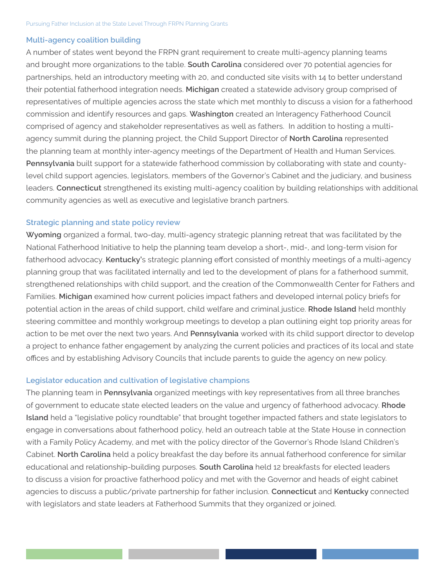## **Multi-agency coalition building**

A number of states went beyond the FRPN grant requirement to create multi-agency planning teams and brought more organizations to the table. **South Carolina** considered over 70 potential agencies for partnerships, held an introductory meeting with 20, and conducted site visits with 14 to better understand their potential fatherhood integration needs. **Michigan** created a statewide advisory group comprised of representatives of multiple agencies across the state which met monthly to discuss a vision for a fatherhood commission and identify resources and gaps. **Washington** created an Interagency Fatherhood Council comprised of agency and stakeholder representatives as well as fathers. In addition to hosting a multiagency summit during the planning project, the Child Support Director of **North Carolina** represented the planning team at monthly inter-agency meetings of the Department of Health and Human Services. **Pennsylvania** built support for a statewide fatherhood commission by collaborating with state and countylevel child support agencies, legislators, members of the Governor's Cabinet and the judiciary, and business leaders. **Connecticut** strengthened its existing multi-agency coalition by building relationships with additional community agencies as well as executive and legislative branch partners.

#### **Strategic planning and state policy review**

**Wyoming** organized a formal, two-day, multi-agency strategic planning retreat that was facilitated by the National Fatherhood Initiative to help the planning team develop a short-, mid-, and long-term vision for fatherhood advocacy. **Kentucky'**s strategic planning effort consisted of monthly meetings of a multi-agency planning group that was facilitated internally and led to the development of plans for a fatherhood summit, strengthened relationships with child support, and the creation of the Commonwealth Center for Fathers and Families. **Michigan** examined how current policies impact fathers and developed internal policy briefs for potential action in the areas of child support, child welfare and criminal justice. **Rhode Island** held monthly steering committee and monthly workgroup meetings to develop a plan outlining eight top priority areas for action to be met over the next two years. And **Pennsylvania** worked with its child support director to develop a project to enhance father engagement by analyzing the current policies and practices of its local and state offices and by establishing Advisory Councils that include parents to guide the agency on new policy.

## **Legislator education and cultivation of legislative champions**

The planning team in **Pennsylvania** organized meetings with key representatives from all three branches of government to educate state elected leaders on the value and urgency of fatherhood advocacy. **Rhode Island** held a "legislative policy roundtable" that brought together impacted fathers and state legislators to engage in conversations about fatherhood policy, held an outreach table at the State House in connection with a Family Policy Academy, and met with the policy director of the Governor's Rhode Island Children's Cabinet. **North Carolina** held a policy breakfast the day before its annual fatherhood conference for similar educational and relationship-building purposes. **South Carolina** held 12 breakfasts for elected leaders to discuss a vision for proactive fatherhood policy and met with the Governor and heads of eight cabinet agencies to discuss a public/private partnership for father inclusion. **Connecticut** and **Kentucky** connected with legislators and state leaders at Fatherhood Summits that they organized or joined.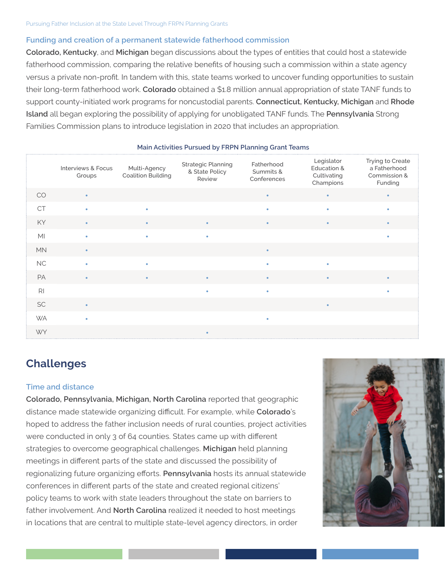## **Funding and creation of a permanent statewide fatherhood commission**

**Colorado, Kentucky**, and **Michigan** began discussions about the types of entities that could host a statewide fatherhood commission, comparing the relative benefits of housing such a commission within a state agency versus a private non-profit. In tandem with this, state teams worked to uncover funding opportunities to sustain their long-term fatherhood work. **Colorado** obtained a \$1.8 million annual appropriation of state TANF funds to support county-initiated work programs for noncustodial parents. **Connecticut, Kentucky, Michigan** and **Rhode Island** all began exploring the possibility of applying for unobligated TANF funds. The **Pennsylvania** Strong Families Commission plans to introduce legislation in 2020 that includes an appropriation.

|                | Interviews & Focus<br>Groups | Multi-Agency<br><b>Coalition Building</b> | <b>Strategic Planning</b><br>& State Policy<br>Review | Fatherhood<br>Summits &<br>Conferences | Legislator<br>Education &<br>Cultivating<br>Champions | Trying to Create<br>a Fatherhood<br>Commission &<br>Funding |
|----------------|------------------------------|-------------------------------------------|-------------------------------------------------------|----------------------------------------|-------------------------------------------------------|-------------------------------------------------------------|
| CO             |                              |                                           |                                                       | ٠                                      | ٠                                                     |                                                             |
| <b>CT</b>      | ٠                            | ٠                                         |                                                       |                                        | ٠                                                     |                                                             |
| KY             | $\bullet$                    | $\bullet$                                 | $\bullet$                                             | $\bullet$                              | $\bullet$                                             | $\bullet$                                                   |
| M <sub>l</sub> | $\bullet$                    | ٠                                         | $\bullet$                                             |                                        |                                                       |                                                             |
| <b>MN</b>      |                              |                                           |                                                       | $\bullet$                              |                                                       |                                                             |
| NC             |                              |                                           |                                                       |                                        | ٠                                                     |                                                             |
| PA             | $\blacksquare$               | $\blacksquare$                            |                                                       |                                        | ٠                                                     |                                                             |
| R <sub>l</sub> |                              |                                           | ٠                                                     |                                        |                                                       |                                                             |
| <b>SC</b>      | $\blacksquare$               |                                           |                                                       |                                        | $\bullet$                                             |                                                             |
| <b>WA</b>      | ٠                            |                                           |                                                       | ٠                                      |                                                       |                                                             |
| <b>WY</b>      |                              |                                           |                                                       |                                        |                                                       |                                                             |

#### **Main Activities Pursued by FRPN Planning Grant Teams**

# **Challenges**

#### **Time and distance**

**Colorado, Pennsylvania, Michigan, North Carolina** reported that geographic distance made statewide organizing difficult. For example, while **Colorado**'s hoped to address the father inclusion needs of rural counties, project activities were conducted in only 3 of 64 counties. States came up with different strategies to overcome geographical challenges. **Michigan** held planning meetings in different parts of the state and discussed the possibility of regionalizing future organizing efforts. **Pennsylvania** hosts its annual statewide conferences in different parts of the state and created regional citizens' policy teams to work with state leaders throughout the state on barriers to father involvement. And **North Carolina** realized it needed to host meetings in locations that are central to multiple state-level agency directors, in order

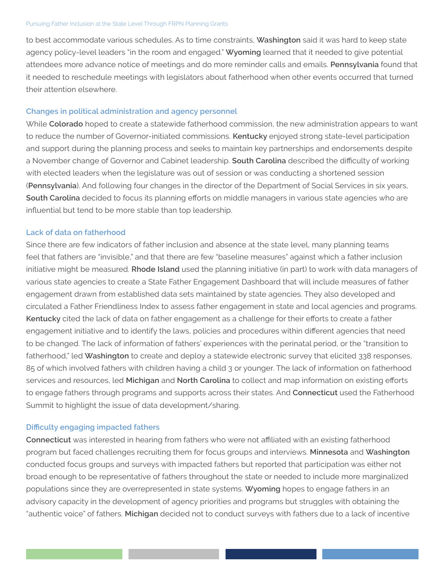#### Pursuing Father Inclusion at the State Level Through FRPN Planning Grants

to best accommodate various schedules. As to time constraints, **Washington** said it was hard to keep state agency policy-level leaders "in the room and engaged." **Wyoming** learned that it needed to give potential attendees more advance notice of meetings and do more reminder calls and emails. **Pennsylvania** found that it needed to reschedule meetings with legislators about fatherhood when other events occurred that turned their attention elsewhere.

#### **Changes in political administration and agency personnel**

While **Colorado** hoped to create a statewide fatherhood commission, the new administration appears to want to reduce the number of Governor-initiated commissions. **Kentucky** enjoyed strong state-level participation and support during the planning process and seeks to maintain key partnerships and endorsements despite a November change of Governor and Cabinet leadership. **South Carolina** described the difficulty of working with elected leaders when the legislature was out of session or was conducting a shortened session (**Pennsylvania**). And following four changes in the director of the Department of Social Services in six years, **South Carolina** decided to focus its planning efforts on middle managers in various state agencies who are influential but tend to be more stable than top leadership.

#### **Lack of data on fatherhood**

Since there are few indicators of father inclusion and absence at the state level, many planning teams feel that fathers are "invisible," and that there are few "baseline measures" against which a father inclusion initiative might be measured. **Rhode Island** used the planning initiative (in part) to work with data managers of various state agencies to create a State Father Engagement Dashboard that will include measures of father engagement drawn from established data sets maintained by state agencies. They also developed and circulated a Father Friendliness Index to assess father engagement in state and local agencies and programs. **Kentucky** cited the lack of data on father engagement as a challenge for their efforts to create a father engagement initiative and to identify the laws, policies and procedures within different agencies that need to be changed. The lack of information of fathers' experiences with the perinatal period, or the "transition to fatherhood," led **Washington** to create and deploy a statewide electronic survey that elicited 338 responses, 85 of which involved fathers with children having a child 3 or younger. The lack of information on fatherhood services and resources, led **Michigan** and **North Carolina** to collect and map information on existing efforts to engage fathers through programs and supports across their states. And **Connecticut** used the Fatherhood Summit to highlight the issue of data development/sharing.

## **Difficulty engaging impacted fathers**

**Connecticut** was interested in hearing from fathers who were not affiliated with an existing fatherhood program but faced challenges recruiting them for focus groups and interviews. **Minnesota** and **Washington** conducted focus groups and surveys with impacted fathers but reported that participation was either not broad enough to be representative of fathers throughout the state or needed to include more marginalized populations since they are overrepresented in state systems. **Wyoming** hopes to engage fathers in an advisory capacity in the development of agency priorities and programs but struggles with obtaining the "authentic voice" of fathers. **Michigan** decided not to conduct surveys with fathers due to a lack of incentive